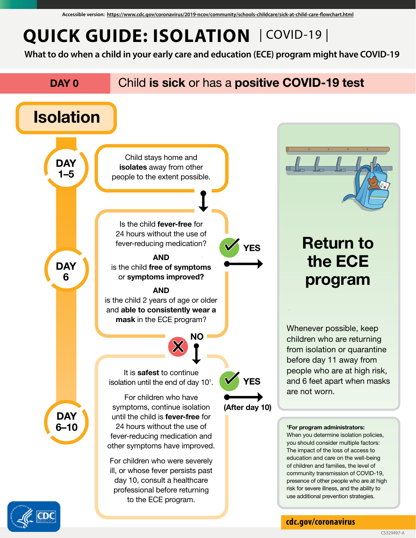## **QUICK GUIDE: ISOLATION** | COVID-19 |

**What to do when a child in your early care and education (ECE) program might have COVID-19**





**[cdc.gov/coronavirus](https://www.cdc.gov/coronavirus/2019-ncov/index.html)**